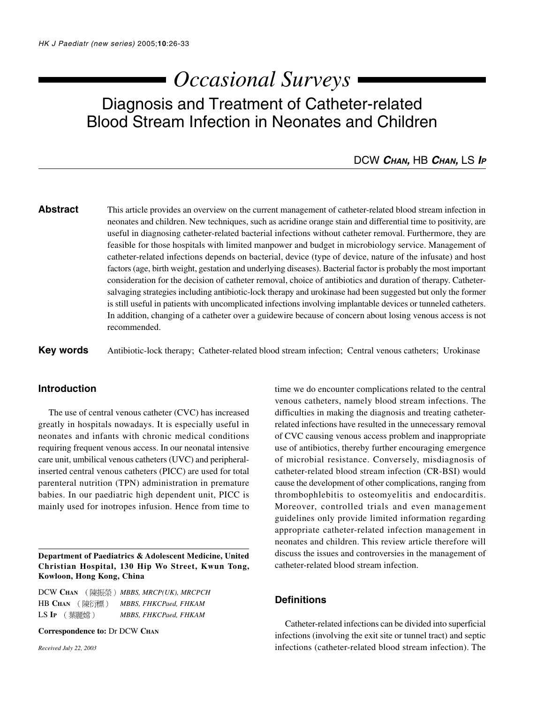# *Occasional Surveys*

# Diagnosis and Treatment of Catheter-related Blood Stream Infection in Neonates and Children

# DCW **CHAN,** HB **CHAN,** LS **I<sup>P</sup>**

**Abstract** This article provides an overview on the current management of catheter-related blood stream infection in neonates and children. New techniques, such as acridine orange stain and differential time to positivity, are useful in diagnosing catheter-related bacterial infections without catheter removal. Furthermore, they are feasible for those hospitals with limited manpower and budget in microbiology service. Management of catheter-related infections depends on bacterial, device (type of device, nature of the infusate) and host factors (age, birth weight, gestation and underlying diseases). Bacterial factor is probably the most important consideration for the decision of catheter removal, choice of antibiotics and duration of therapy. Cathetersalvaging strategies including antibiotic-lock therapy and urokinase had been suggested but only the former is still useful in patients with uncomplicated infections involving implantable devices or tunneled catheters. In addition, changing of a catheter over a guidewire because of concern about losing venous access is not recommended.

**Key words** Antibiotic-lock therapy; Catheter-related blood stream infection; Central venous catheters; Urokinase

# **Introduction**

The use of central venous catheter (CVC) has increased greatly in hospitals nowadays. It is especially useful in neonates and infants with chronic medical conditions requiring frequent venous access. In our neonatal intensive care unit, umbilical venous catheters (UVC) and peripheralinserted central venous catheters (PICC) are used for total parenteral nutrition (TPN) administration in premature babies. In our paediatric high dependent unit, PICC is mainly used for inotropes infusion. Hence from time to

**Department of Paediatrics & Adolescent Medicine, United Christian Hospital, 130 Hip Wo Street, Kwun Tong, Kowloon, Hong Kong, China**

DCW CHAN (陳振榮) MBBS, MRCP(UK), MRCPCH HB CHAN (陳衍標) MBBS, FHKCPaed, FHKAM LS IP (葉麗嫦) MBBS, FHKCPaed, FHKAM

**Correspondence to:** Dr DCW **CHAN**

*Received July 22, 2003*

time we do encounter complications related to the central venous catheters, namely blood stream infections. The difficulties in making the diagnosis and treating catheterrelated infections have resulted in the unnecessary removal of CVC causing venous access problem and inappropriate use of antibiotics, thereby further encouraging emergence of microbial resistance. Conversely, misdiagnosis of catheter-related blood stream infection (CR-BSI) would cause the development of other complications, ranging from thrombophlebitis to osteomyelitis and endocarditis. Moreover, controlled trials and even management guidelines only provide limited information regarding appropriate catheter-related infection management in neonates and children. This review article therefore will discuss the issues and controversies in the management of catheter-related blood stream infection.

# **Definitions**

Catheter-related infections can be divided into superficial infections (involving the exit site or tunnel tract) and septic infections (catheter-related blood stream infection). The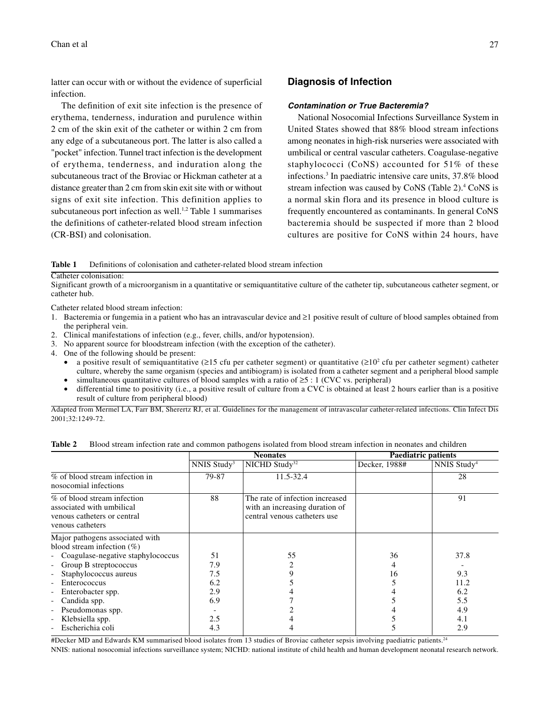latter can occur with or without the evidence of superficial infection.

The definition of exit site infection is the presence of erythema, tenderness, induration and purulence within 2 cm of the skin exit of the catheter or within 2 cm from any edge of a subcutaneous port. The latter is also called a "pocket" infection. Tunnel tract infection is the development of erythema, tenderness, and induration along the subcutaneous tract of the Broviac or Hickman catheter at a distance greater than 2 cm from skin exit site with or without signs of exit site infection. This definition applies to subcutaneous port infection as well.<sup>1,2</sup> Table 1 summarises the definitions of catheter-related blood stream infection (CR-BSI) and colonisation.

# **Diagnosis of Infection**

#### **Contamination or True Bacteremia?**

National Nosocomial Infections Surveillance System in United States showed that 88% blood stream infections among neonates in high-risk nurseries were associated with umbilical or central vascular catheters. Coagulase-negative staphylococci (CoNS) accounted for 51% of these infections.3 In paediatric intensive care units, 37.8% blood stream infection was caused by CoNS (Table 2).<sup>4</sup> CoNS is a normal skin flora and its presence in blood culture is frequently encountered as contaminants. In general CoNS bacteremia should be suspected if more than 2 blood cultures are positive for CoNS within 24 hours, have

**Table 1** Definitions of colonisation and catheter-related blood stream infection

Catheter colonisation:

Significant growth of a microorganism in a quantitative or semiquantitative culture of the catheter tip, subcutaneous catheter segment, or catheter hub.

Catheter related blood stream infection:

- 1. Bacteremia or fungemia in a patient who has an intravascular device and ≥1 positive result of culture of blood samples obtained from the peripheral vein.
- 2. Clinical manifestations of infection (e.g., fever, chills, and/or hypotension).
- 3. No apparent source for bloodstream infection (with the exception of the catheter).
- 4. One of the following should be present:
	- a positive result of semiquantitative ( $\geq 15$  cfu per catheter segment) or quantitative ( $\geq 10^2$  cfu per catheter segment) catheter culture, whereby the same organism (species and antibiogram) is isolated from a catheter segment and a peripheral blood sample
	- simultaneous quantitative cultures of blood samples with a ratio of  $\geq 5$  : 1 (CVC vs. peripheral)
	- differential time to positivity (i.e., a positive result of culture from a CVC is obtained at least 2 hours earlier than is a positive result of culture from peripheral blood)

Adapted from Mermel LA, Farr BM, Sherertz RJ, et al. Guidelines for the management of intravascular catheter-related infections. Clin Infect Dis 2001;32:1249-72.

|                                                                                                             |                         | <b>Neonates</b>                                                                                   | <b>Paediatric patients</b> |                         |
|-------------------------------------------------------------------------------------------------------------|-------------------------|---------------------------------------------------------------------------------------------------|----------------------------|-------------------------|
|                                                                                                             | NNIS Study <sup>3</sup> | $NICHD$ Study <sup>32</sup>                                                                       | Decker, 1988#              | NNIS Study <sup>4</sup> |
| % of blood stream infection in<br>nosocomial infections                                                     | 79-87                   | 11.5-32.4                                                                                         |                            | 28                      |
| % of blood stream infection<br>associated with umbilical<br>venous catheters or central<br>venous catheters | 88                      | The rate of infection increased<br>with an increasing duration of<br>central venous catheters use |                            |                         |
| Major pathogens associated with<br>blood stream infection $(\%)$                                            |                         |                                                                                                   |                            |                         |
| - Coagulase-negative staphylococcus                                                                         | 51                      | 55                                                                                                | 36                         | 37.8                    |
| Group B streptococcus                                                                                       | 7.9                     |                                                                                                   |                            |                         |
| Staphylococcus aureus<br>$\overline{\phantom{a}}$                                                           | 7.5                     |                                                                                                   | 16                         | 9.3                     |
| Enterococcus                                                                                                | 6.2                     |                                                                                                   |                            | 11.2                    |
| Enterobacter spp.<br>$\overline{\phantom{a}}$                                                               | 2.9                     |                                                                                                   |                            | 6.2                     |
| Candida spp.                                                                                                | 6.9                     |                                                                                                   |                            | 5.5                     |
| Pseudomonas spp.                                                                                            |                         |                                                                                                   |                            | 4.9                     |
| Klebsiella spp.                                                                                             | 2.5                     |                                                                                                   |                            | 4.1                     |
| Escherichia coli                                                                                            | 4.3                     |                                                                                                   |                            | 2.9                     |

#Decker MD and Edwards KM summarised blood isolates from 13 studies of Broviac catheter sepsis involving paediatric patients.<sup>24</sup> NNIS: national nosocomial infections surveillance system; NICHD: national institute of child health and human development neonatal research network.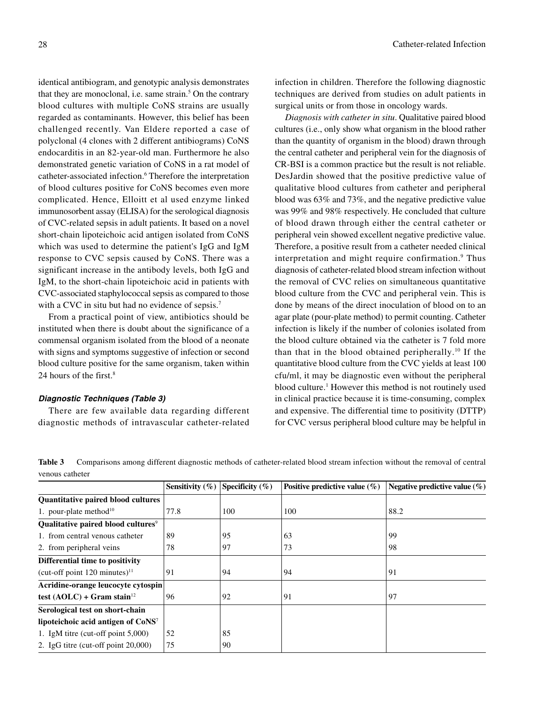identical antibiogram, and genotypic analysis demonstrates that they are monoclonal, i.e. same strain.<sup>5</sup> On the contrary blood cultures with multiple CoNS strains are usually regarded as contaminants. However, this belief has been challenged recently. Van Eldere reported a case of polyclonal (4 clones with 2 different antibiograms) CoNS endocarditis in an 82-year-old man. Furthermore he also demonstrated genetic variation of CoNS in a rat model of catheter-associated infection.<sup>6</sup> Therefore the interpretation of blood cultures positive for CoNS becomes even more complicated. Hence, Elloitt et al used enzyme linked immunosorbent assay (ELISA) for the serological diagnosis of CVC-related sepsis in adult patients. It based on a novel short-chain lipoteichoic acid antigen isolated from CoNS which was used to determine the patient's IgG and IgM response to CVC sepsis caused by CoNS. There was a significant increase in the antibody levels, both IgG and IgM, to the short-chain lipoteichoic acid in patients with CVC-associated staphylococcal sepsis as compared to those with a CVC in situ but had no evidence of sepsis.<sup>7</sup>

From a practical point of view, antibiotics should be instituted when there is doubt about the significance of a commensal organism isolated from the blood of a neonate with signs and symptoms suggestive of infection or second blood culture positive for the same organism, taken within 24 hours of the first.<sup>8</sup>

#### **Diagnostic Techniques (Table 3)**

There are few available data regarding different diagnostic methods of intravascular catheter-related

infection in children. Therefore the following diagnostic techniques are derived from studies on adult patients in surgical units or from those in oncology wards.

*Diagnosis with catheter in situ*. Qualitative paired blood cultures (i.e., only show what organism in the blood rather than the quantity of organism in the blood) drawn through the central catheter and peripheral vein for the diagnosis of CR-BSI is a common practice but the result is not reliable. DesJardin showed that the positive predictive value of qualitative blood cultures from catheter and peripheral blood was 63% and 73%, and the negative predictive value was 99% and 98% respectively. He concluded that culture of blood drawn through either the central catheter or peripheral vein showed excellent negative predictive value. Therefore, a positive result from a catheter needed clinical interpretation and might require confirmation.<sup>9</sup> Thus diagnosis of catheter-related blood stream infection without the removal of CVC relies on simultaneous quantitative blood culture from the CVC and peripheral vein. This is done by means of the direct inoculation of blood on to an agar plate (pour-plate method) to permit counting. Catheter infection is likely if the number of colonies isolated from the blood culture obtained via the catheter is 7 fold more than that in the blood obtained peripherally.10 If the quantitative blood culture from the CVC yields at least 100 cfu/ml, it may be diagnostic even without the peripheral blood culture.<sup>1</sup> However this method is not routinely used in clinical practice because it is time-consuming, complex and expensive. The differential time to positivity (DTTP) for CVC versus peripheral blood culture may be helpful in

**Table 3** Comparisons among different diagnostic methods of catheter-related blood stream infection without the removal of central venous catheter

|                                                | Sensitivity $(\% )$ | Specificity $(\% )$ | Positive predictive value $(\% )$ | Negative predictive value $(\% )$ |
|------------------------------------------------|---------------------|---------------------|-----------------------------------|-----------------------------------|
| Quantitative paired blood cultures             |                     |                     |                                   |                                   |
| 1. pour-plate method <sup>10</sup>             | 77.8                | 100                 | 100                               | 88.2                              |
| Qualitative paired blood cultures <sup>9</sup> |                     |                     |                                   |                                   |
| 1. from central venous catheter                | 89                  | 95                  | 63                                | 99                                |
| 2. from peripheral veins                       | 78                  | 97                  | 73                                | 98                                |
| Differential time to positivity                |                     |                     |                                   |                                   |
| (cut-off point $120$ minutes) <sup>11</sup>    | 91                  | 94                  | 94                                | 91                                |
| Acridine-orange leucocyte cytospin             |                     |                     |                                   |                                   |
| test (AOLC) + Gram stain <sup>12</sup>         | 96                  | 92                  | 91                                | 97                                |
| Serological test on short-chain                |                     |                     |                                   |                                   |
| lipoteichoic acid antigen of CoNS <sup>7</sup> |                     |                     |                                   |                                   |
| 1. IgM titre (cut-off point $5,000$ )          | 52                  | 85                  |                                   |                                   |
| 2. IgG titre (cut-off point $20,000$ )         | 75                  | 90                  |                                   |                                   |
|                                                |                     |                     |                                   |                                   |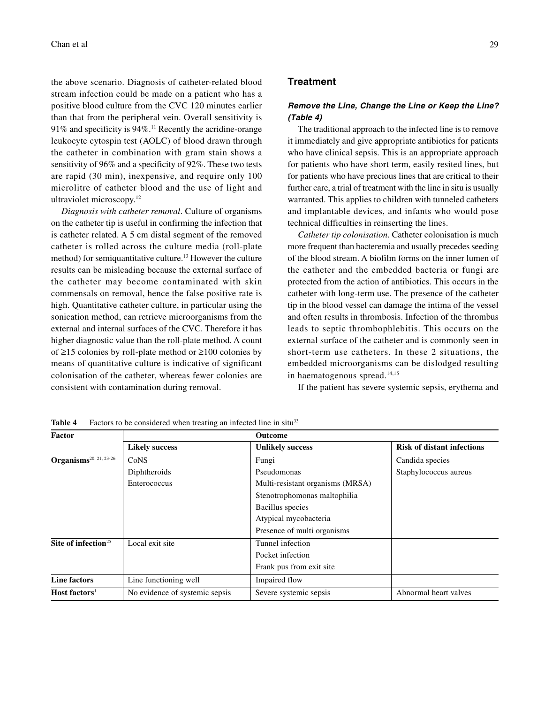the above scenario. Diagnosis of catheter-related blood stream infection could be made on a patient who has a positive blood culture from the CVC 120 minutes earlier than that from the peripheral vein. Overall sensitivity is  $91\%$  and specificity is  $94\%$ .<sup>11</sup> Recently the acridine-orange leukocyte cytospin test (AOLC) of blood drawn through the catheter in combination with gram stain shows a sensitivity of 96% and a specificity of 92%. These two tests are rapid (30 min), inexpensive, and require only 100 microlitre of catheter blood and the use of light and ultraviolet microscopy.12

*Diagnosis with catheter removal*. Culture of organisms on the catheter tip is useful in confirming the infection that is catheter related. A 5 cm distal segment of the removed catheter is rolled across the culture media (roll-plate method) for semiquantitative culture.<sup>13</sup> However the culture results can be misleading because the external surface of the catheter may become contaminated with skin commensals on removal, hence the false positive rate is high. Quantitative catheter culture, in particular using the sonication method, can retrieve microorganisms from the external and internal surfaces of the CVC. Therefore it has higher diagnostic value than the roll-plate method. A count of ≥15 colonies by roll-plate method or ≥100 colonies by means of quantitative culture is indicative of significant colonisation of the catheter, whereas fewer colonies are consistent with contamination during removal.

#### **Treatment**

## **Remove the Line, Change the Line or Keep the Line? (Table 4)**

The traditional approach to the infected line is to remove it immediately and give appropriate antibiotics for patients who have clinical sepsis. This is an appropriate approach for patients who have short term, easily resited lines, but for patients who have precious lines that are critical to their further care, a trial of treatment with the line in situ is usually warranted. This applies to children with tunneled catheters and implantable devices, and infants who would pose technical difficulties in reinserting the lines.

*Catheter tip colonisation*. Catheter colonisation is much more frequent than bacteremia and usually precedes seeding of the blood stream. A biofilm forms on the inner lumen of the catheter and the embedded bacteria or fungi are protected from the action of antibiotics. This occurs in the catheter with long-term use. The presence of the catheter tip in the blood vessel can damage the intima of the vessel and often results in thrombosis. Infection of the thrombus leads to septic thrombophlebitis. This occurs on the external surface of the catheter and is commonly seen in short-term use catheters. In these 2 situations, the embedded microorganisms can be dislodged resulting in haematogenous spread.<sup>14,15</sup>

If the patient has severe systemic sepsis, erythema and

| <b>Factor</b>                      | Outcome                        |                                  |                                   |  |  |  |
|------------------------------------|--------------------------------|----------------------------------|-----------------------------------|--|--|--|
|                                    | <b>Likely success</b>          | <b>Unlikely success</b>          | <b>Risk of distant infections</b> |  |  |  |
| Organisms <sup>20, 21, 23-26</sup> | CoNS                           | Fungi                            | Candida species                   |  |  |  |
|                                    | Diphtheroids                   | Pseudomonas                      | Staphylococcus aureus             |  |  |  |
|                                    | Enterococcus                   | Multi-resistant organisms (MRSA) |                                   |  |  |  |
|                                    |                                | Stenotrophomonas maltophilia     |                                   |  |  |  |
|                                    |                                | <b>Bacillus</b> species          |                                   |  |  |  |
|                                    |                                | Atypical mycobacteria            |                                   |  |  |  |
|                                    |                                | Presence of multi organisms      |                                   |  |  |  |
| Site of infection $25$             | Local exit site                | Tunnel infection                 |                                   |  |  |  |
|                                    |                                | Pocket infection                 |                                   |  |  |  |
|                                    |                                | Frank pus from exit site         |                                   |  |  |  |
| <b>Line factors</b>                | Line functioning well          | Impaired flow                    |                                   |  |  |  |
| Host factors <sup>1</sup>          | No evidence of systemic sepsis | Severe systemic sepsis           | Abnormal heart valves             |  |  |  |

**Table 4** Factors to be considered when treating an infected line in situ<sup>33</sup>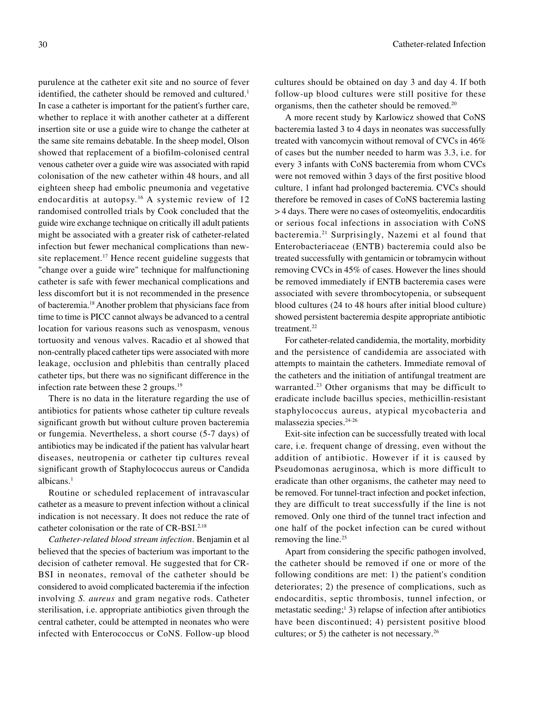purulence at the catheter exit site and no source of fever identified, the catheter should be removed and cultured.<sup>1</sup> In case a catheter is important for the patient's further care, whether to replace it with another catheter at a different insertion site or use a guide wire to change the catheter at the same site remains debatable. In the sheep model, Olson showed that replacement of a biofilm-colonised central venous catheter over a guide wire was associated with rapid colonisation of the new catheter within 48 hours, and all eighteen sheep had embolic pneumonia and vegetative endocarditis at autopsy.<sup>16</sup> A systemic review of 12 randomised controlled trials by Cook concluded that the guide wire exchange technique on critically ill adult patients might be associated with a greater risk of catheter-related infection but fewer mechanical complications than newsite replacement.<sup>17</sup> Hence recent guideline suggests that "change over a guide wire" technique for malfunctioning catheter is safe with fewer mechanical complications and less discomfort but it is not recommended in the presence of bacteremia.18 Another problem that physicians face from time to time is PICC cannot always be advanced to a central location for various reasons such as venospasm, venous tortuosity and venous valves. Racadio et al showed that non-centrally placed catheter tips were associated with more leakage, occlusion and phlebitis than centrally placed catheter tips, but there was no significant difference in the infection rate between these 2 groups.<sup>19</sup>

There is no data in the literature regarding the use of antibiotics for patients whose catheter tip culture reveals significant growth but without culture proven bacteremia or fungemia. Nevertheless, a short course (5-7 days) of antibiotics may be indicated if the patient has valvular heart diseases, neutropenia or catheter tip cultures reveal significant growth of Staphylococcus aureus or Candida albicans.1

Routine or scheduled replacement of intravascular catheter as a measure to prevent infection without a clinical indication is not necessary. It does not reduce the rate of catheter colonisation or the rate of CR-BSI.2,18

*Catheter-related blood stream infection*. Benjamin et al believed that the species of bacterium was important to the decision of catheter removal. He suggested that for CR-BSI in neonates, removal of the catheter should be considered to avoid complicated bacteremia if the infection involving *S. aureus* and gram negative rods. Catheter sterilisation, i.e. appropriate antibiotics given through the central catheter, could be attempted in neonates who were infected with Enterococcus or CoNS. Follow-up blood cultures should be obtained on day 3 and day 4. If both follow-up blood cultures were still positive for these organisms, then the catheter should be removed.<sup>20</sup>

A more recent study by Karlowicz showed that CoNS bacteremia lasted 3 to 4 days in neonates was successfully treated with vancomycin without removal of CVCs in 46% of cases but the number needed to harm was 3.3, i.e. for every 3 infants with CoNS bacteremia from whom CVCs were not removed within 3 days of the first positive blood culture, 1 infant had prolonged bacteremia. CVCs should therefore be removed in cases of CoNS bacteremia lasting > 4 days. There were no cases of osteomyelitis, endocarditis or serious focal infections in association with CoNS bacteremia.21 Surprisingly, Nazemi et al found that Enterobacteriaceae (ENTB) bacteremia could also be treated successfully with gentamicin or tobramycin without removing CVCs in 45% of cases. However the lines should be removed immediately if ENTB bacteremia cases were associated with severe thrombocytopenia, or subsequent blood cultures (24 to 48 hours after initial blood culture) showed persistent bacteremia despite appropriate antibiotic treatment.<sup>22</sup>

For catheter-related candidemia, the mortality, morbidity and the persistence of candidemia are associated with attempts to maintain the catheters. Immediate removal of the catheters and the initiation of antifungal treatment are warranted.<sup>23</sup> Other organisms that may be difficult to eradicate include bacillus species, methicillin-resistant staphylococcus aureus, atypical mycobacteria and malassezia species.24-26

Exit-site infection can be successfully treated with local care, i.e. frequent change of dressing, even without the addition of antibiotic. However if it is caused by Pseudomonas aeruginosa, which is more difficult to eradicate than other organisms, the catheter may need to be removed. For tunnel-tract infection and pocket infection, they are difficult to treat successfully if the line is not removed. Only one third of the tunnel tract infection and one half of the pocket infection can be cured without removing the line.<sup>25</sup>

Apart from considering the specific pathogen involved, the catheter should be removed if one or more of the following conditions are met: 1) the patient's condition deteriorates; 2) the presence of complications, such as endocarditis, septic thrombosis, tunnel infection, or metastatic seeding;<sup>1</sup> 3) relapse of infection after antibiotics have been discontinued; 4) persistent positive blood cultures; or 5) the catheter is not necessary.26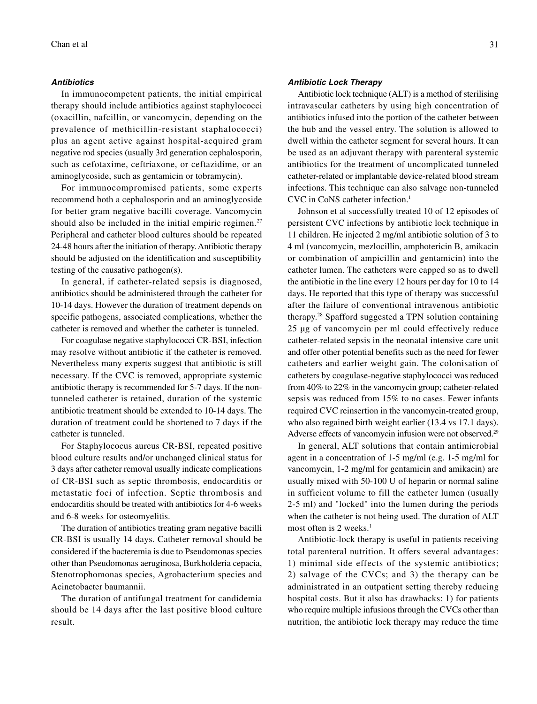#### **Antibiotics**

In immunocompetent patients, the initial empirical therapy should include antibiotics against staphylococci (oxacillin, nafcillin, or vancomycin, depending on the prevalence of methicillin-resistant staphalococci) plus an agent active against hospital-acquired gram negative rod species (usually 3rd generation cephalosporin, such as cefotaxime, ceftriaxone, or ceftazidime, or an aminoglycoside, such as gentamicin or tobramycin).

For immunocompromised patients, some experts recommend both a cephalosporin and an aminoglycoside for better gram negative bacilli coverage. Vancomycin should also be included in the initial empiric regimen.<sup>27</sup> Peripheral and catheter blood cultures should be repeated 24-48 hours after the initiation of therapy. Antibiotic therapy should be adjusted on the identification and susceptibility testing of the causative pathogen(s).

In general, if catheter-related sepsis is diagnosed, antibiotics should be administered through the catheter for 10-14 days. However the duration of treatment depends on specific pathogens, associated complications, whether the catheter is removed and whether the catheter is tunneled.

For coagulase negative staphylococci CR-BSI, infection may resolve without antibiotic if the catheter is removed. Nevertheless many experts suggest that antibiotic is still necessary. If the CVC is removed, appropriate systemic antibiotic therapy is recommended for 5-7 days. If the nontunneled catheter is retained, duration of the systemic antibiotic treatment should be extended to 10-14 days. The duration of treatment could be shortened to 7 days if the catheter is tunneled.

For Staphylococus aureus CR-BSI, repeated positive blood culture results and/or unchanged clinical status for 3 days after catheter removal usually indicate complications of CR-BSI such as septic thrombosis, endocarditis or metastatic foci of infection. Septic thrombosis and endocarditis should be treated with antibiotics for 4-6 weeks and 6-8 weeks for osteomyelitis.

The duration of antibiotics treating gram negative bacilli CR-BSI is usually 14 days. Catheter removal should be considered if the bacteremia is due to Pseudomonas species other than Pseudomonas aeruginosa, Burkholderia cepacia, Stenotrophomonas species, Agrobacterium species and Acinetobacter baumannii.

The duration of antifungal treatment for candidemia should be 14 days after the last positive blood culture result.

#### **Antibiotic Lock Therapy**

Antibiotic lock technique (ALT) is a method of sterilising intravascular catheters by using high concentration of antibiotics infused into the portion of the catheter between the hub and the vessel entry. The solution is allowed to dwell within the catheter segment for several hours. It can be used as an adjuvant therapy with parenteral systemic antibiotics for the treatment of uncomplicated tunneled catheter-related or implantable device-related blood stream infections. This technique can also salvage non-tunneled CVC in CoNS catheter infection.1

Johnson et al successfully treated 10 of 12 episodes of persistent CVC infections by antibiotic lock technique in 11 children. He injected 2 mg/ml antibiotic solution of 3 to 4 ml (vancomycin, mezlocillin, amphotericin B, amikacin or combination of ampicillin and gentamicin) into the catheter lumen. The catheters were capped so as to dwell the antibiotic in the line every 12 hours per day for 10 to 14 days. He reported that this type of therapy was successful after the failure of conventional intravenous antibiotic therapy.28 Spafford suggested a TPN solution containing 25 µg of vancomycin per ml could effectively reduce catheter-related sepsis in the neonatal intensive care unit and offer other potential benefits such as the need for fewer catheters and earlier weight gain. The colonisation of catheters by coagulase-negative staphylococci was reduced from 40% to 22% in the vancomycin group; catheter-related sepsis was reduced from 15% to no cases. Fewer infants required CVC reinsertion in the vancomycin-treated group, who also regained birth weight earlier (13.4 vs 17.1 days). Adverse effects of vancomycin infusion were not observed.<sup>29</sup>

In general, ALT solutions that contain antimicrobial agent in a concentration of 1-5 mg/ml (e.g. 1-5 mg/ml for vancomycin, 1-2 mg/ml for gentamicin and amikacin) are usually mixed with 50-100 U of heparin or normal saline in sufficient volume to fill the catheter lumen (usually 2-5 ml) and "locked" into the lumen during the periods when the catheter is not being used. The duration of ALT most often is 2 weeks. $<sup>1</sup>$ </sup>

Antibiotic-lock therapy is useful in patients receiving total parenteral nutrition. It offers several advantages: 1) minimal side effects of the systemic antibiotics; 2) salvage of the CVCs; and 3) the therapy can be administrated in an outpatient setting thereby reducing hospital costs. But it also has drawbacks: 1) for patients who require multiple infusions through the CVCs other than nutrition, the antibiotic lock therapy may reduce the time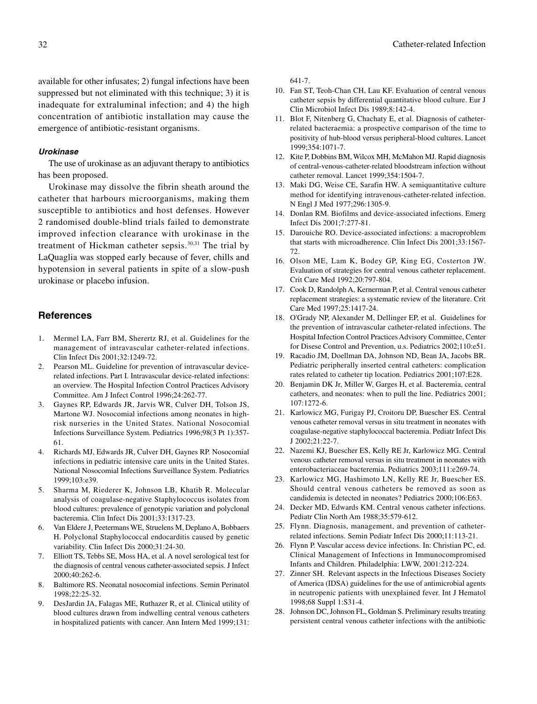available for other infusates; 2) fungal infections have been suppressed but not eliminated with this technique; 3) it is inadequate for extraluminal infection; and 4) the high concentration of antibiotic installation may cause the emergence of antibiotic-resistant organisms.

#### **Urokinase**

The use of urokinase as an adjuvant therapy to antibiotics has been proposed.

Urokinase may dissolve the fibrin sheath around the catheter that harbours microorganisms, making them susceptible to antibiotics and host defenses. However 2 randomised double-blind trials failed to demonstrate improved infection clearance with urokinase in the treatment of Hickman catheter sepsis.30,31 The trial by LaQuaglia was stopped early because of fever, chills and hypotension in several patients in spite of a slow-push urokinase or placebo infusion.

### **References**

- 1. Mermel LA, Farr BM, Sherertz RJ, et al. Guidelines for the management of intravascular catheter-related infections. Clin Infect Dis 2001;32:1249-72.
- 2. Pearson ML. Guideline for prevention of intravascular devicerelated infections. Part I. Intravascular device-related infections: an overview. The Hospital Infection Control Practices Advisory Committee. Am J Infect Control 1996;24:262-77.
- 3. Gaynes RP, Edwards JR, Jarvis WR, Culver DH, Tolson JS, Martone WJ. Nosocomial infections among neonates in highrisk nurseries in the United States. National Nosocomial Infections Surveillance System. Pediatrics 1996;98(3 Pt 1):357- 61.
- 4. Richards MJ, Edwards JR, Culver DH, Gaynes RP. Nosocomial infections in pediatric intensive care units in the United States. National Nosocomial Infections Surveillance System. Pediatrics 1999;103:e39.
- 5. Sharma M, Riederer K, Johnson LB, Khatib R. Molecular analysis of coagulase-negative Staphylococcus isolates from blood cultures: prevalence of genotypic variation and polyclonal bacteremia. Clin Infect Dis 2001;33:1317-23.
- 6. Van Eldere J, Peetermans WE, Struelens M, Deplano A, Bobbaers H. Polyclonal Staphylococcal endocarditis caused by genetic variability. Clin Infect Dis 2000;31:24-30.
- 7. Elliott TS, Tebbs SE, Moss HA, et al. A novel serological test for the diagnosis of central venous catheter-associated sepsis. J Infect  $2000:40:262-6$
- 8. Baltimore RS. Neonatal nosocomial infections. Semin Perinatol 1998;22:25-32.
- 9. DesJardin JA, Falagas ME, Ruthazer R, et al. Clinical utility of blood cultures drawn from indwelling central venous catheters in hospitalized patients with cancer. Ann Intern Med 1999;131:

641-7.

- 10. Fan ST, Teoh-Chan CH, Lau KF. Evaluation of central venous catheter sepsis by differential quantitative blood culture. Eur J Clin Microbiol Infect Dis 1989;8:142-4.
- 11. Blot F, Nitenberg G, Chachaty E, et al. Diagnosis of catheterrelated bacteraemia: a prospective comparison of the time to positivity of hub-blood versus peripheral-blood cultures. Lancet 1999;354:1071-7.
- 12. Kite P, Dobbins BM, Wilcox MH, McMahon MJ. Rapid diagnosis of central-venous-catheter-related bloodstream infection without catheter removal. Lancet 1999;354:1504-7.
- 13. Maki DG, Weise CE, Sarafin HW. A semiquantitative culture method for identifying intravenous-catheter-related infection. N Engl J Med 1977;296:1305-9.
- 14. Donlan RM. Biofilms and device-associated infections. Emerg Infect Dis 2001;7:277-81.
- 15. Darouiche RO. Device-associated infections: a macroproblem that starts with microadherence. Clin Infect Dis 2001;33:1567- 72.
- 16. Olson ME, Lam K, Bodey GP, King EG, Costerton JW. Evaluation of strategies for central venous catheter replacement. Crit Care Med 1992;20:797-804.
- 17. Cook D, Randolph A, Kernerman P, et al. Central venous catheter replacement strategies: a systematic review of the literature. Crit Care Med 1997;25:1417-24.
- 18. O'Grady NP, Alexander M, Dellinger EP, et al. Guidelines for the prevention of intravascular catheter-related infections. The Hospital Infection Control Practices Advisory Committee, Center for Disese Control and Prevention, u.s. Pediatrics 2002;110:e51.
- 19. Racadio JM, Doellman DA, Johnson ND, Bean JA, Jacobs BR. Pediatric peripherally inserted central catheters: complication rates related to catheter tip location. Pediatrics 2001;107:E28.
- 20. Benjamin DK Jr, Miller W, Garges H, et al. Bacteremia, central catheters, and neonates: when to pull the line. Pediatrics 2001; 107:1272-6.
- 21. Karlowicz MG, Furigay PJ, Croitoru DP, Buescher ES. Central venous catheter removal versus in situ treatment in neonates with coagulase-negative staphylococcal bacteremia. Pediatr Infect Dis J 2002;21:22-7.
- 22. Nazemi KJ, Buescher ES, Kelly RE Jr, Karlowicz MG. Central venous catheter removal versus in situ treatment in neonates with enterobacteriaceae bacteremia. Pediatrics 2003;111:e269-74.
- 23. Karlowicz MG, Hashimoto LN, Kelly RE Jr, Buescher ES. Should central venous catheters be removed as soon as candidemia is detected in neonates? Pediatrics 2000;106:E63.
- 24. Decker MD, Edwards KM. Central venous catheter infections. Pediatr Clin North Am 1988;35:579-612.
- 25. Flynn. Diagnosis, management, and prevention of catheterrelated infections. Semin Pediatr Infect Dis 2000;11:113-21.
- 26. Flynn P. Vascular access device infections. In: Christian PC, ed. Clinical Management of Infections in Immunocompromised Infants and Children. Philadelphia: LWW, 2001:212-224.
- 27. Zinner SH. Relevant aspects in the Infectious Diseases Society of America (IDSA) guidelines for the use of antimicrobial agents in neutropenic patients with unexplained fever. Int J Hematol 1998;68 Suppl 1:S31-4.
- 28. Johnson DC, Johnson FL, Goldman S. Preliminary results treating persistent central venous catheter infections with the antibiotic